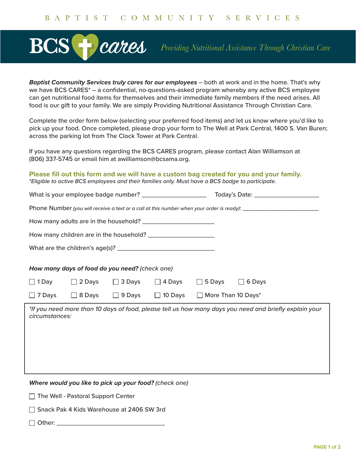## **BC** cares

*Providing Nutritional Assistance Through Christian Care*

*Baptist Community Services truly cares for our employees* – both at work and in the home. That's why we have BCS CARES\* – a confidential, no-questions-asked program whereby any active BCS employee can get nutritional food items for themselves and their immediate family members if the need arises. All food is our gift to your family. We are simply Providing Nutritional Assistance Through Christian Care.

Complete the order form below (selecting your preferred food items) and let us know where you'd like to pick up your food. Once completed, please drop your form to The Well at Park Central, 1400 S. Van Buren; across the parking lot from The Clock Tower at Park Central.

If you have any questions regarding the BCS CARES program, please contact Alan Williamson at (806) 337-5745 or email him at awilliamson@bcsama.org.

**Please fill out this form and we will have a custom bag created for you and your family.** *\*Eligible to active BCS employees and their families only. Must have a BCS badge to participate.*

| Phone Number (you will receive a text or a call at this number when your order is ready): ____________________ |  |                |                                                                                                |                                                                                                                                                                    |  |
|----------------------------------------------------------------------------------------------------------------|--|----------------|------------------------------------------------------------------------------------------------|--------------------------------------------------------------------------------------------------------------------------------------------------------------------|--|
|                                                                                                                |  |                |                                                                                                |                                                                                                                                                                    |  |
|                                                                                                                |  |                |                                                                                                |                                                                                                                                                                    |  |
|                                                                                                                |  |                |                                                                                                |                                                                                                                                                                    |  |
|                                                                                                                |  |                |                                                                                                |                                                                                                                                                                    |  |
|                                                                                                                |  | $\Box$ 4 Days  |                                                                                                |                                                                                                                                                                    |  |
|                                                                                                                |  | $\Box$ 10 Days |                                                                                                |                                                                                                                                                                    |  |
| circumstances:                                                                                                 |  |                |                                                                                                |                                                                                                                                                                    |  |
|                                                                                                                |  | $\Box$ 2 Days  | How many days of food do you need? (check one)<br>$\Box$ 3 Days<br>$\Box$ 8 Days $\Box$ 9 Days | $\Box$ 5 Days $\Box$ 6 Days<br>$\Box$ More Than 10 Days*<br>*If you need more than 10 days of food, please tell us how many days you need and briefly explain your |  |

*Where would you like to pick up your food? (check one)*

 $\Box$  The Well - Pastoral Support Center

Snack Pak 4 Kids Warehouse at 2406 SW 3rd

 $\square$  Other:  $\square$